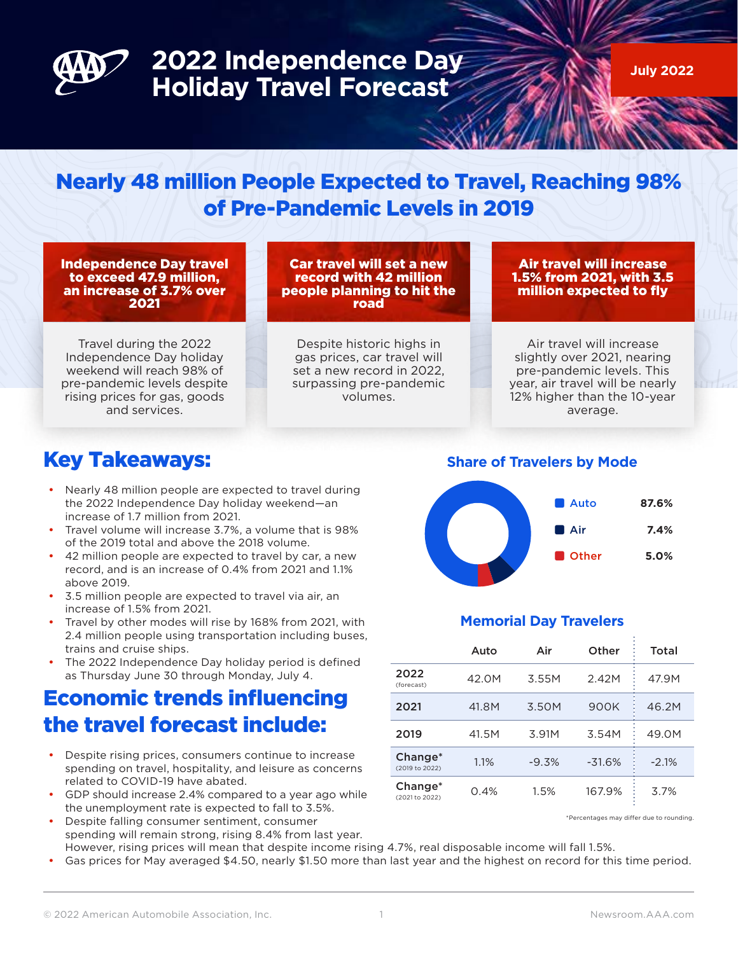

# **2022 Independence Day Holiday Travel Forecast**

**July 2022**

### Nearly 48 million People Expected to Travel, Reaching 98% of Pre-Pandemic Levels in 2019

Independence Day travel to exceed 47.9 million, an increase of 3.7% over 2021

Car travel will set a new record with 42 million people planning to hit the road

Air travel will increase 1.5% from 2021, with 3.5 million expected to fly

Travel during the 2022 Independence Day holiday weekend will reach 98% of pre-pandemic levels despite rising prices for gas, goods and services.

Despite historic highs in gas prices, car travel will set a new record in 2022, surpassing pre-pandemic volumes.

Air travel will increase slightly over 2021, nearing pre-pandemic levels. This year, air travel will be nearly 12% higher than the 10-year average.

#### Key Takeaways:

- Nearly 48 million people are expected to travel during the 2022 Independence Day holiday weekend—an increase of 1.7 million from 2021.
- y Travel volume will increase 3.7%, a volume that is 98% of the 2019 total and above the 2018 volume.
- 42 million people are expected to travel by car, a new record, and is an increase of 0.4% from 2021 and 1.1% above 2019.
- 3.5 million people are expected to travel via air, an increase of 1.5% from 2021.
- Travel by other modes will rise by 168% from 2021, with 2.4 million people using transportation including buses, trains and cruise ships.
- The 2022 Independence Day holiday period is defined as Thursday June 30 through Monday, July 4.

### Economic trends influencing the travel forecast include:

- Despite rising prices, consumers continue to increase spending on travel, hospitality, and leisure as concerns related to COVID-19 have abated.
- GDP should increase 2.4% compared to a year ago while the unemployment rate is expected to fall to 3.5%.
- Despite falling consumer sentiment, consumer spending will remain strong, rising 8.4% from last year. However, rising prices will mean that despite income rising 4.7%, real disposable income will fall 1.5%.
- Gas prices for May averaged \$4.50, nearly \$1.50 more than last year and the highest on record for this time period.

**Share of Travelers by Mode**



#### **Memorial Day Travelers**

|                                       | Auto  | Air     | Other    | Total   |
|---------------------------------------|-------|---------|----------|---------|
| 2022<br>(forecast)                    | 42.0M | 3.55M   | 2.42M    | 47.9M   |
| 2021                                  | 41.8M | 3.50M   | 900K     | 46.2M   |
| 2019                                  | 41.5M | 3.91M   | 3.54M    | 49.0M   |
| Change <sup>*</sup><br>(2019 to 2022) | 1.1%  | $-9.3%$ | $-31.6%$ | $-2.1%$ |
| Change <sup>*</sup><br>(2021 to 2022) | 0.4%  | 1.5%    | 167.9%   | 3.7%    |

\*Percentages may differ due to rounding.

© 2022 American Automobile Association, Inc. 1 1 1 1 1 1 1 1 1 1 1 1 1 1 1 1 1 Newsroom.AAA.com